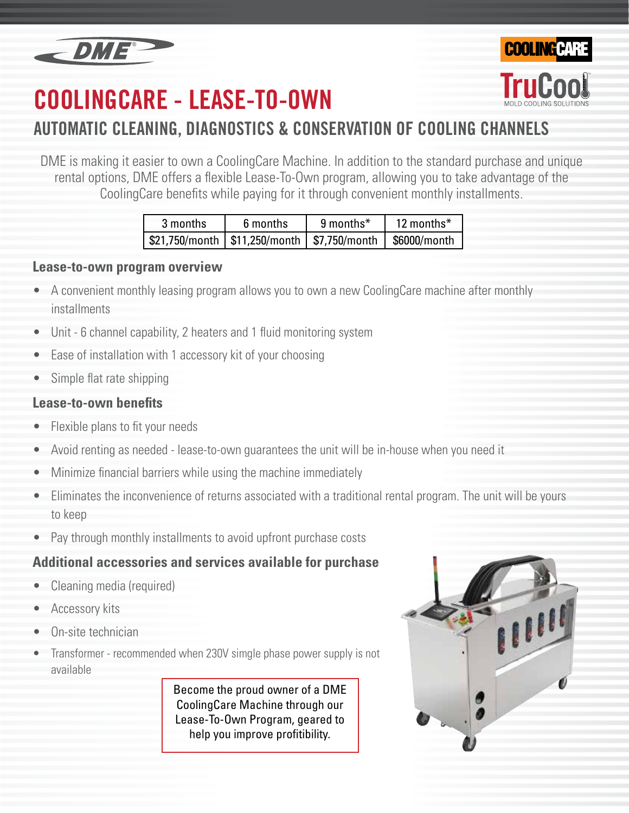

# **COOLINGCARE - LEASE-TO-OWN**



DME is making it easier to own a CoolingCare Machine. In addition to the standard purchase and unique rental options, DME offers a flexible Lease-To-Own program, allowing you to take advantage of the CoolingCare benefits while paying for it through convenient monthly installments.

| 3 months | 6 months | 9 months* | 12 months $*$ |
|----------|----------|-----------|---------------|
|          |          |           |               |

#### **Lease-to-own program overview**

- A convenient monthly leasing program allows you to own a new CoolingCare machine after monthly installments
- Unit 6 channel capability, 2 heaters and 1 fluid monitoring system
- Ease of installation with 1 accessory kit of your choosing
- Simple flat rate shipping

#### **Lease-to-own benefits**

- Flexible plans to fit your needs
- Avoid renting as needed lease-to-own guarantees the unit will be in-house when you need it
- Minimize financial barriers while using the machine immediately
- Eliminates the inconvenience of returns associated with a traditional rental program. The unit will be yours to keep
- Pay through monthly installments to avoid upfront purchase costs

### **Additional accessories and services available for purchase**

- Cleaning media (required)
- Accessory kits
- On-site technician
- Transformer recommended when 230V simgle phase power supply is not available

Become the proud owner of a DME CoolingCare Machine through our Lease-To-Own Program, geared to help you improve profitibility.



**COOLING CAR**